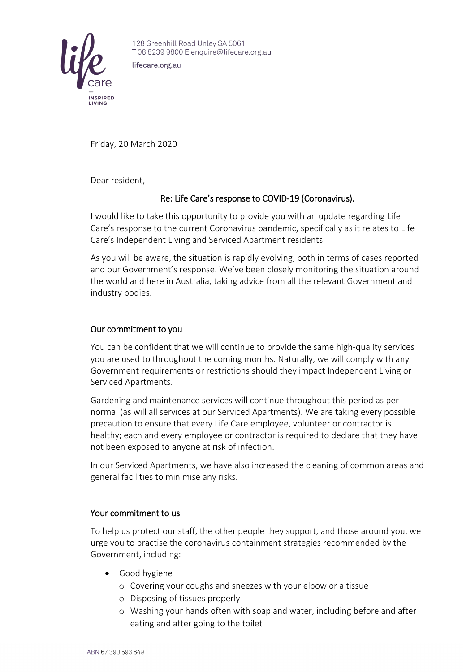

128 Greenhill Road Unley SA 5061 T0882399800 E enquire@lifecare.org.au

lifecare.org.au

Friday, 20 March 2020

Dear resident,

## Re: Life Care's response to COVID-19 (Coronavirus).

I would like to take this opportunity to provide you with an update regarding Life Care's response to the current Coronavirus pandemic, specifically as it relates to Life Care's Independent Living and Serviced Apartment residents.

As you will be aware, the situation is rapidly evolving, both in terms of cases reported and our Government's response. We've been closely monitoring the situation around the world and here in Australia, taking advice from all the relevant Government and industry bodies.

## Our commitment to you

You can be confident that we will continue to provide the same high-quality services you are used to throughout the coming months. Naturally, we will comply with any Government requirements or restrictions should they impact Independent Living or Serviced Apartments.

Gardening and maintenance services will continue throughout this period as per normal (as will all services at our Serviced Apartments). We are taking every possible precaution to ensure that every Life Care employee, volunteer or contractor is healthy; each and every employee or contractor is required to declare that they have not been exposed to anyone at risk of infection.

In our Serviced Apartments, we have also increased the cleaning of common areas and general facilities to minimise any risks.

## Your commitment to us

To help us protect our staff, the other people they support, and those around you, we urge you to practise the coronavirus containment strategies recommended by the Government, including:

- Good hygiene
	- o Covering your coughs and sneezes with your elbow or a tissue
	- o Disposing of tissues properly
	- o Washing your hands often with soap and water, including before and after eating and after going to the toilet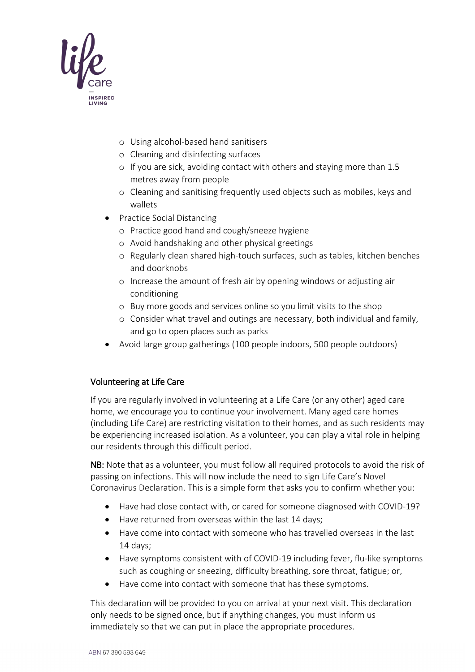

- o Using alcohol-based hand sanitisers
- o Cleaning and disinfecting surfaces
- o If you are sick, avoiding contact with others and staying more than 1.5 metres away from people
- o Cleaning and sanitising frequently used objects such as mobiles, keys and wallets
- Practice Social Distancing
	- o Practice good hand and cough/sneeze hygiene
	- o Avoid handshaking and other physical greetings
	- o Regularly clean shared high-touch surfaces, such as tables, kitchen benches and doorknobs
	- o Increase the amount of fresh air by opening windows or adjusting air conditioning
	- o Buy more goods and services online so you limit visits to the shop
	- o Consider what travel and outings are necessary, both individual and family, and go to open places such as parks
- Avoid large group gatherings (100 people indoors, 500 people outdoors)

## Volunteering at Life Care

If you are regularly involved in volunteering at a Life Care (or any other) aged care home, we encourage you to continue your involvement. Many aged care homes (including Life Care) are restricting visitation to their homes, and as such residents may be experiencing increased isolation. As a volunteer, you can play a vital role in helping our residents through this difficult period.

NB: Note that as a volunteer, you must follow all required protocols to avoid the risk of passing on infections. This will now include the need to sign Life Care's Novel Coronavirus Declaration. This is a simple form that asks you to confirm whether you:

- Have had close contact with, or cared for someone diagnosed with COVID-19?
- Have returned from overseas within the last 14 days;
- Have come into contact with someone who has travelled overseas in the last 14 days;
- Have symptoms consistent with of COVID-19 including fever, flu-like symptoms such as coughing or sneezing, difficulty breathing, sore throat, fatigue; or,
- Have come into contact with someone that has these symptoms.

This declaration will be provided to you on arrival at your next visit. This declaration only needs to be signed once, but if anything changes, you must inform us immediately so that we can put in place the appropriate procedures.